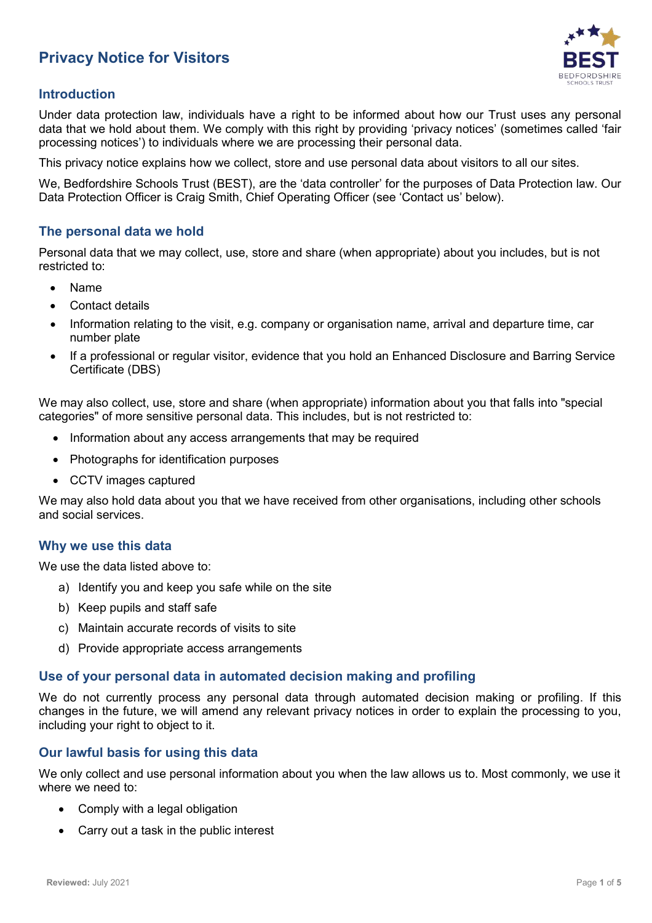# **Privacy Notice for Visitors**



## **Introduction**

Under data protection law, individuals have a right to be informed about how our Trust uses any personal data that we hold about them. We comply with this right by providing 'privacy notices' (sometimes called 'fair processing notices') to individuals where we are processing their personal data.

This privacy notice explains how we collect, store and use personal data about visitors to all our sites.

We, Bedfordshire Schools Trust (BEST), are the 'data controller' for the purposes of Data Protection law. Our Data Protection Officer is Craig Smith, Chief Operating Officer (see 'Contact us' below).

#### **The personal data we hold**

Personal data that we may collect, use, store and share (when appropriate) about you includes, but is not restricted to:

- Name
- Contact details
- Information relating to the visit, e.g. company or organisation name, arrival and departure time, car number plate
- If a professional or regular visitor, evidence that you hold an Enhanced Disclosure and Barring Service Certificate (DBS)

We may also collect, use, store and share (when appropriate) information about you that falls into "special categories" of more sensitive personal data. This includes, but is not restricted to:

- Information about any access arrangements that may be required
- Photographs for identification purposes
- CCTV images captured

We may also hold data about you that we have received from other organisations, including other schools and social services.

#### **Why we use this data**

We use the data listed above to:

- a) Identify you and keep you safe while on the site
- b) Keep pupils and staff safe
- c) Maintain accurate records of visits to site
- d) Provide appropriate access arrangements

#### **Use of your personal data in automated decision making and profiling**

We do not currently process any personal data through automated decision making or profiling. If this changes in the future, we will amend any relevant privacy notices in order to explain the processing to you, including your right to object to it.

#### **Our lawful basis for using this data**

We only collect and use personal information about you when the law allows us to. Most commonly, we use it where we need to:

- Comply with a legal obligation
- Carry out a task in the public interest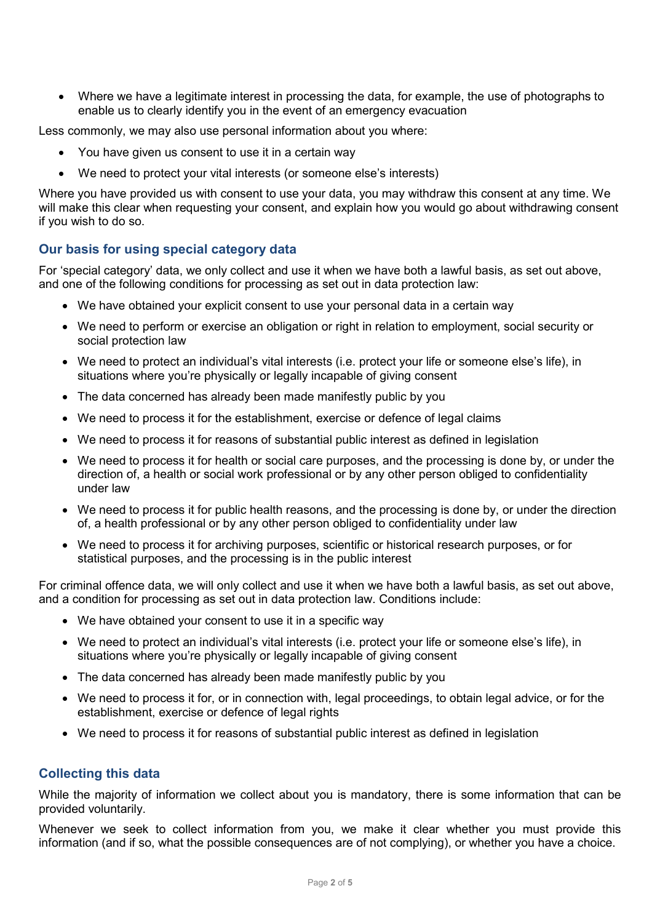• Where we have a legitimate interest in processing the data, for example, the use of photographs to enable us to clearly identify you in the event of an emergency evacuation

Less commonly, we may also use personal information about you where:

- You have given us consent to use it in a certain way
- We need to protect your vital interests (or someone else's interests)

Where you have provided us with consent to use your data, you may withdraw this consent at any time. We will make this clear when requesting your consent, and explain how you would go about withdrawing consent if you wish to do so.

# **Our basis for using special category data**

For 'special category' data, we only collect and use it when we have both a lawful basis, as set out above, and one of the following conditions for processing as set out in data protection law:

- We have obtained your explicit consent to use your personal data in a certain way
- We need to perform or exercise an obligation or right in relation to employment, social security or social protection law
- We need to protect an individual's vital interests (i.e. protect your life or someone else's life), in situations where you're physically or legally incapable of giving consent
- The data concerned has already been made manifestly public by you
- We need to process it for the establishment, exercise or defence of legal claims
- We need to process it for reasons of substantial public interest as defined in legislation
- We need to process it for health or social care purposes, and the processing is done by, or under the direction of, a health or social work professional or by any other person obliged to confidentiality under law
- We need to process it for public health reasons, and the processing is done by, or under the direction of, a health professional or by any other person obliged to confidentiality under law
- We need to process it for archiving purposes, scientific or historical research purposes, or for statistical purposes, and the processing is in the public interest

For criminal offence data, we will only collect and use it when we have both a lawful basis, as set out above, and a condition for processing as set out in data protection law. Conditions include:

- We have obtained your consent to use it in a specific way
- We need to protect an individual's vital interests (i.e. protect your life or someone else's life), in situations where you're physically or legally incapable of giving consent
- The data concerned has already been made manifestly public by you
- We need to process it for, or in connection with, legal proceedings, to obtain legal advice, or for the establishment, exercise or defence of legal rights
- We need to process it for reasons of substantial public interest as defined in legislation

# **Collecting this data**

While the majority of information we collect about you is mandatory, there is some information that can be provided voluntarily.

Whenever we seek to collect information from you, we make it clear whether you must provide this information (and if so, what the possible consequences are of not complying), or whether you have a choice.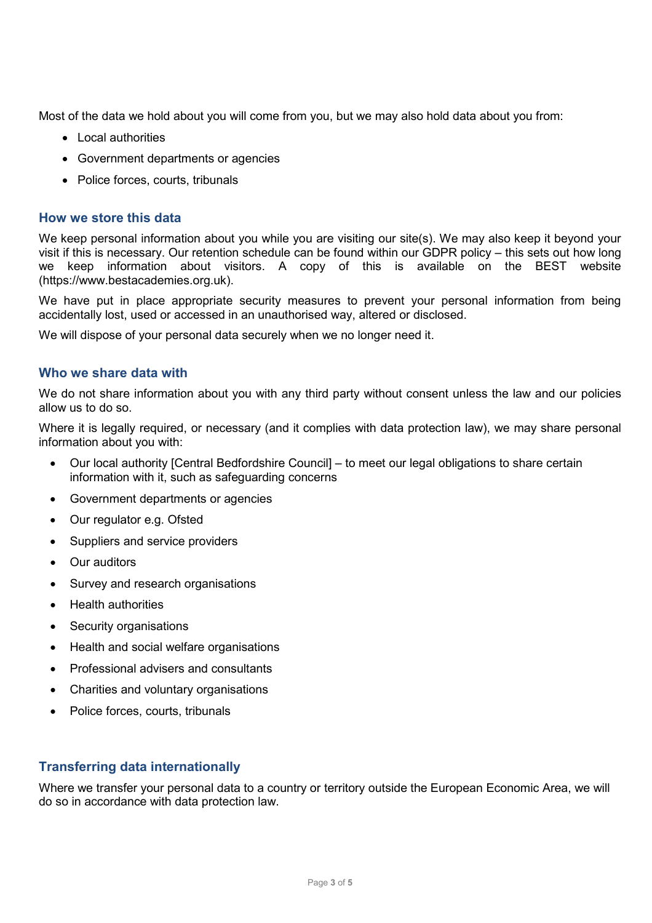Most of the data we hold about you will come from you, but we may also hold data about you from:

- Local authorities
- Government departments or agencies
- Police forces, courts, tribunals

#### **How we store this data**

We keep personal information about you while you are visiting our site(s). We may also keep it beyond your visit if this is necessary. Our retention schedule can be found within our GDPR policy – this sets out how long we keep information about visitors. A copy of this is available on the BEST website (https://www.bestacademies.org.uk).

We have put in place appropriate security measures to prevent your personal information from being accidentally lost, used or accessed in an unauthorised way, altered or disclosed.

We will dispose of your personal data securely when we no longer need it.

#### **Who we share data with**

We do not share information about you with any third party without consent unless the law and our policies allow us to do so.

Where it is legally required, or necessary (and it complies with data protection law), we may share personal information about you with:

- Our local authority [Central Bedfordshire Council] to meet our legal obligations to share certain information with it, such as safeguarding concerns
- Government departments or agencies
- Our regulator e.g. Ofsted
- Suppliers and service providers
- Our auditors
- Survey and research organisations
- Health authorities
- Security organisations
- Health and social welfare organisations
- Professional advisers and consultants
- Charities and voluntary organisations
- Police forces, courts, tribunals

#### **Transferring data internationally**

Where we transfer your personal data to a country or territory outside the European Economic Area, we will do so in accordance with data protection law.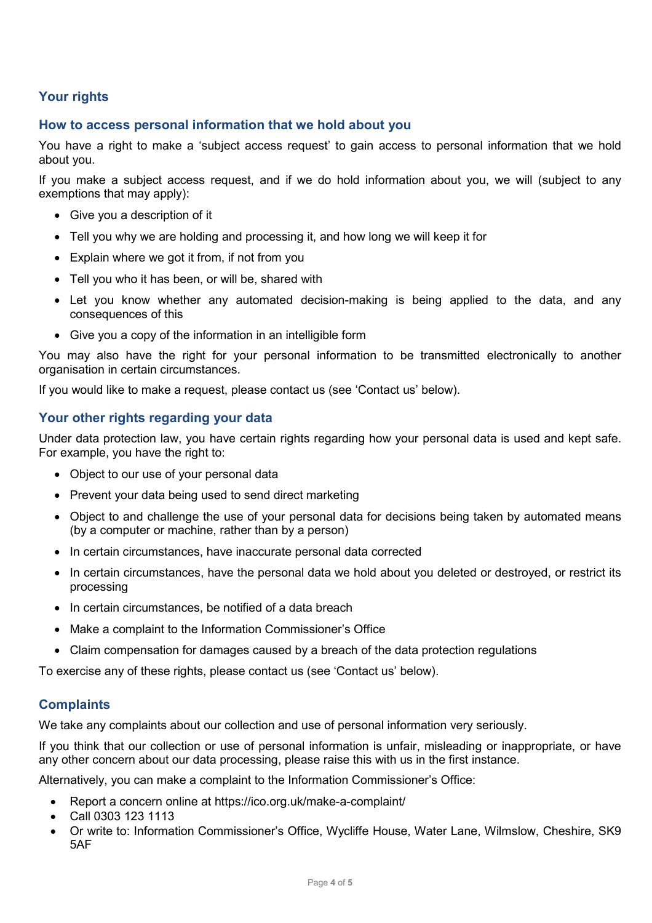# **Your rights**

## **How to access personal information that we hold about you**

You have a right to make a 'subject access request' to gain access to personal information that we hold about you.

If you make a subject access request, and if we do hold information about you, we will (subject to any exemptions that may apply):

- Give you a description of it
- Tell you why we are holding and processing it, and how long we will keep it for
- Explain where we got it from, if not from you
- Tell you who it has been, or will be, shared with
- Let you know whether any automated decision-making is being applied to the data, and any consequences of this
- Give you a copy of the information in an intelligible form

You may also have the right for your personal information to be transmitted electronically to another organisation in certain circumstances.

If you would like to make a request, please contact us (see 'Contact us' below).

#### **Your other rights regarding your data**

Under data protection law, you have certain rights regarding how your personal data is used and kept safe. For example, you have the right to:

- Object to our use of your personal data
- Prevent your data being used to send direct marketing
- Object to and challenge the use of your personal data for decisions being taken by automated means (by a computer or machine, rather than by a person)
- In certain circumstances, have inaccurate personal data corrected
- In certain circumstances, have the personal data we hold about you deleted or destroyed, or restrict its processing
- In certain circumstances, be notified of a data breach
- Make a complaint to the Information Commissioner's Office
- Claim compensation for damages caused by a breach of the data protection regulations

To exercise any of these rights, please contact us (see 'Contact us' below).

#### **Complaints**

We take any complaints about our collection and use of personal information very seriously.

If you think that our collection or use of personal information is unfair, misleading or inappropriate, or have any other concern about our data processing, please raise this with us in the first instance.

Alternatively, you can make a complaint to the Information Commissioner's Office:

- Report a concern online at<https://ico.org.uk/make-a-complaint/>
- Call 0303 123 1113
- Or write to: Information Commissioner's Office, Wycliffe House, Water Lane, Wilmslow, Cheshire, SK9 5AF